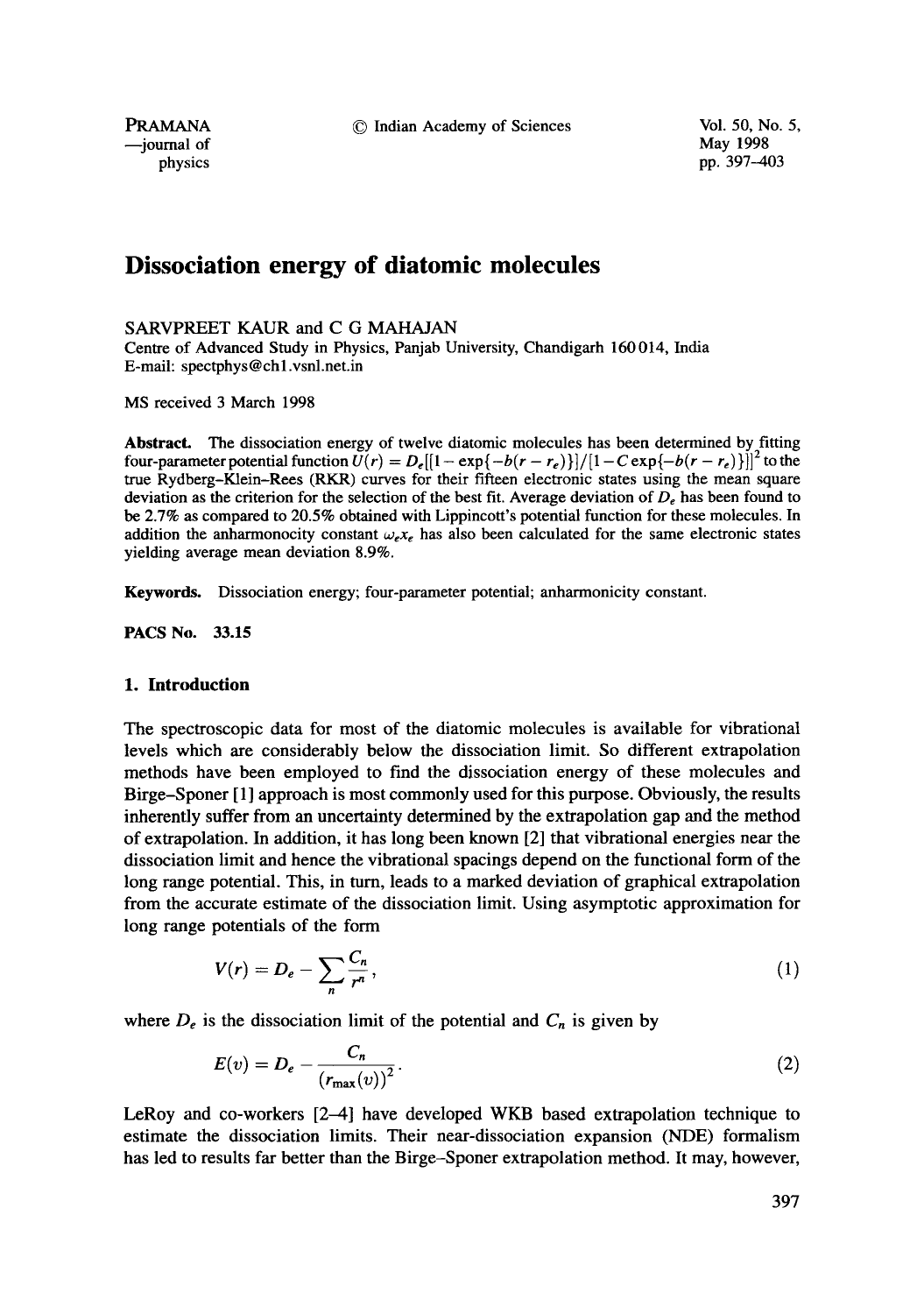© Indian Academy of Sciences Vol. 50, No. 5,

PRAMANA --journal of physics

May 1998 pp. 397-403

# **Dissociation energy of diatomic molecules**

SARVPREET KAUR and C G MAHAJAN

Centre of Advanced Study in Physics, Panjab University, Chandigarh 160 014, India E-mail: spectphys@ch 1.vsnl.net.in

MS received 3 March 1998

**Abstract.** The dissociation energy of twelve diatomic molecules has been determined by fitting four-parameter potential function  $U(r) = D_e[[1-\exp{-b(r-r_e)}]]/[1-C \exp{-b(r-r_e)}]]^2$  to the true Rydberg-Klein-Rees (RKR) curves for their fifteen electronic states using the mean square deviation as the criterion for the selection of the best fit. Average deviation of  $D_e$  has been found to be 2.7% as compared to 20.5% obtained with Lippincott's potential function for these molecules. In addition the anharmonocity constant  $\omega_{\epsilon} x_{\epsilon}$  has also been calculated for the same electronic states yielding average mean deviation 8.9%.

Keywords. Dissociation energy; four-parameter potential; anharmonicity constant.

**PACS No. 33.15** 

## **1. Introduction**

The spectroscopic data for most of the diatomic molecules is available for vibrational levels which are considerably below the dissociation limit. So different extrapolation methods have been employed to find the dissociation energy of these molecules and Birge-Sponer [1] approach is most commonly used for this purpose. Obviously, the results inherently suffer from an uncertainty determined by the extrapolation gap and the method of extrapolation. In addition, it has long been known [2] that vibrational energies near the dissociation limit and hence the vibrational spacings depend on the functional form of the long range potential. This, in turn, leads to a marked deviation of graphical extrapolation from the accurate estimate of the dissociation limit. Using asymptotic approximation for long range potentials of the form

$$
V(r) = D_e - \sum_n \frac{C_n}{r^n},\tag{1}
$$

where  $D_e$  is the dissociation limit of the potential and  $C_n$  is given by

$$
E(v) = D_e - \frac{C_n}{(r_{\text{max}}(v))^2}.
$$
 (2)

LeRoy and co-workers [2-4] have developed WKB based extrapolation technique to estimate the dissociation limits. Their near-dissociation expansion (NDE) formalism has led to results far better than the Birge-Sponer extrapolation method. It may, however,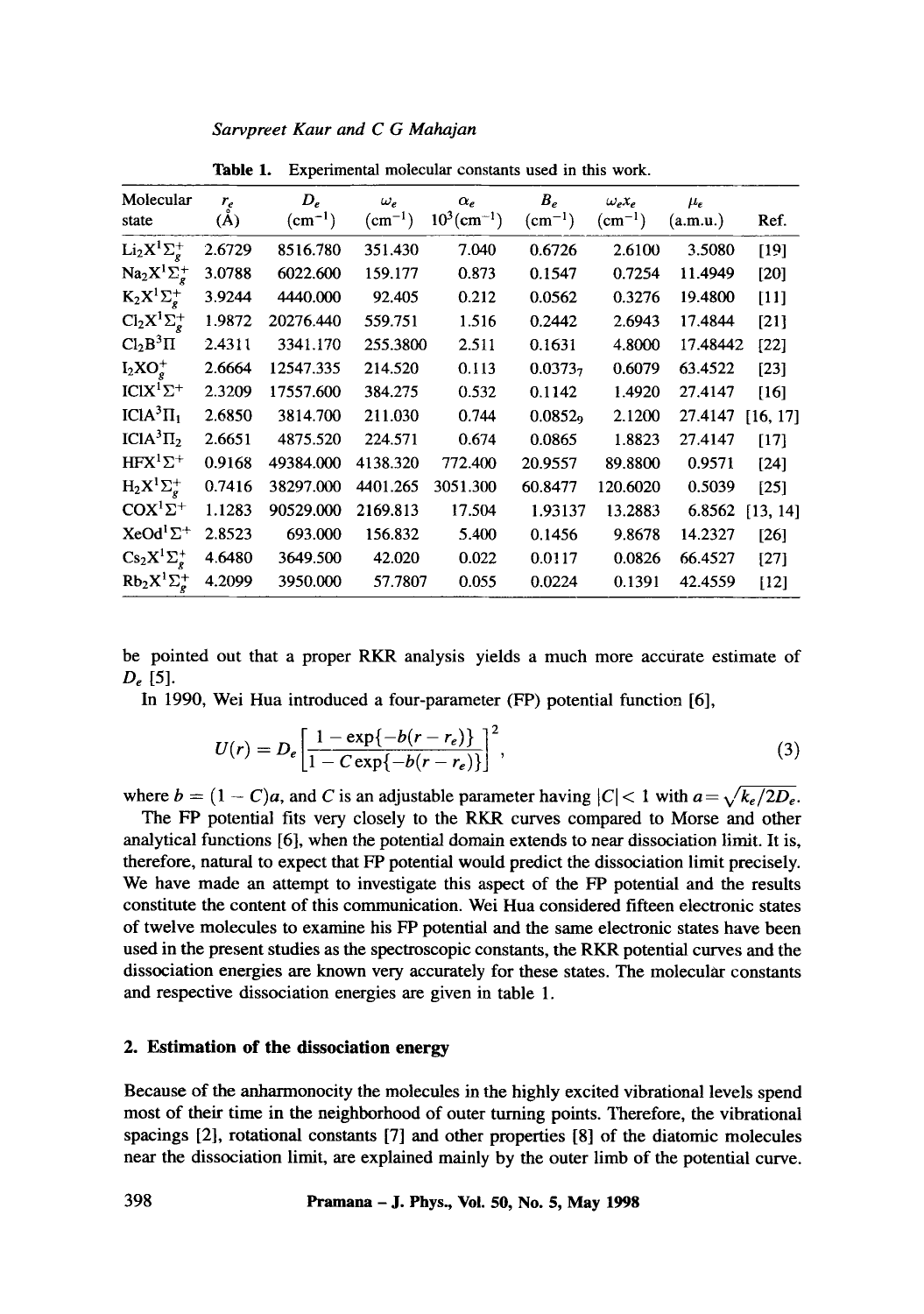| Sarvpreet Kaur and C G Mahajan |  |  |  |
|--------------------------------|--|--|--|

| Molecular<br>state                                 | $r_e$<br>(A) | $D_e$<br>$(cm^{-1})$ | $\omega_e$<br>$(cm^{-1})$ | $\alpha_e$<br>$10^3$ (cm <sup>-1</sup> ) | $B_e$<br>$(cm^{-1})$ | $\omega_e x_e$<br>$(cm^{-1})$ | $\mu_{\varepsilon}$<br>(a.m.u.) | Ref.     |
|----------------------------------------------------|--------------|----------------------|---------------------------|------------------------------------------|----------------------|-------------------------------|---------------------------------|----------|
| $Li_2X^1\Sigma_g^+$                                | 2.6729       | 8516.780             | 351.430                   | 7.040                                    | 0.6726               | 2.6100                        | 3.5080                          | $[19]$   |
| $\text{Na}_2\text{X}^1\Sigma^+_e$                  | 3.0788       | 6022.600             | 159.177                   | 0.873                                    | 0.1547               | 0.7254                        | 11.4949                         | $[20]$   |
| $K_2X^1\Sigma^+_e$                                 | 3.9244       | 4440.000             | 92.405                    | 0.212                                    | 0.0562               | 0.3276                        | 19.4800                         | $[11]$   |
| $\mathrm{Cl}_2\mathrm{X}^1\Sigma^+_{\mathfrak{e}}$ | 1.9872       | 20276.440            | 559.751                   | 1.516                                    | 0.2442               | 2.6943                        | 17.4844                         | $[21]$   |
| Cl <sub>2</sub> B <sup>3</sup> II                  | 2.4311       | 3341.170             | 255.3800                  | 2.511                                    | 0.1631               | 4.8000                        | 17.48442                        | $[22]$   |
| $I_2XO_e^+$                                        | 2.6664       | 12547.335            | 214.520                   | 0.113                                    | 0.0373 <sub>7</sub>  | 0.6079                        | 63.4522                         | [23]     |
| $ICIX^1\Sigma^+$                                   | 2.3209       | 17557.600            | 384.275                   | 0.532                                    | 0.1142               | 1.4920                        | 27.4147                         | [16]     |
| $ICIA3$ $\Pi1$                                     | 2.6850       | 3814.700             | 211.030                   | 0.744                                    | 0.0852 <sub>9</sub>  | 2.1200                        | 27.4147                         | [16, 17] |
| ICIA ${}^3\Pi_2$                                   | 2.6651       | 4875.520             | 224.571                   | 0.674                                    | 0.0865               | 1.8823                        | 27.4147                         | $[17]$   |
| $HFX^1\Sigma^+$                                    | 0.9168       | 49384.000            | 4138.320                  | 772.400                                  | 20.9557              | 89.8800                       | 0.9571                          | $[24]$   |
| $H_2X^1\Sigma^+_{\epsilon}$                        | 0.7416       | 38297.000            | 4401.265                  | 3051.300                                 | 60.8477              | 120.6020                      | 0.5039                          | $[25]$   |
| $COX1Σ+$                                           | 1.1283       | 90529.000            | 2169.813                  | 17.504                                   | 1.93137              | 13.2883                       | 6.8562                          | [13, 14] |
| $XeOd^1\Sigma^+$                                   | 2.8523       | 693.000              | 156.832                   | 5.400                                    | 0.1456               | 9.8678                        | 14.2327                         | [26]     |
| $Cs_2X^1\Sigma^+$                                  | 4.6480       | 3649.500             | 42.020                    | 0.022                                    | 0.0117               | 0.0826                        | 66.4527                         | [27]     |
| $Rb_2X^1\Sigma^+$                                  | 4.2099       | 3950.000             | 57.7807                   | 0.055                                    | 0.0224               | 0.1391                        | 42.4559                         | [12]     |

**Table** 1. Experimental molecular constants used in this work.

be pointed out that a proper RKR analysis yields a much more accurate estimate of  $D_e$  [5].

In 1990, Wei Hua introduced a four-parameter (FP) potential function [6],

$$
U(r) = D_e \left[ \frac{1 - \exp\{-b(r - r_e)\}}{1 - C \exp\{-b(r - r_e)\}} \right]^2,
$$
\n(3)

where  $b = (1 - C)a$ , and C is an adjustable parameter having  $|C| < 1$  with  $a = \sqrt{k_e/2D_e}$ .

The FP potential fits very closely to the RKR curves compared to Morse and other analytical functions [6], when the potential domain extends to near dissociation limit. It is, therefore, natural to expect that FP potential would predict the dissociation limit precisely. We have made an attempt to investigate this aspect of the FP potential and the results constitute the content of this communication. Wei Hua considered fifteen electronic states of twelve molecules to examine his FP potential and the same electronic states have been used in the present studies as the spectroscopic constants, the RKR potential curves and the dissociation energies are known very accurately for these states. The molecular constants and respective dissociation energies are given in table 1.

# **2. Estimation of the dissociation energy**

Because of the anharmonocity the molecules in the highly excited vibrational levels spend most of their time in the neighborhood of outer turning points. Therefore, the vibrational spacings [2], rotational constants [7] and other properties [8] of the diatomic molecules near the dissociation limit, are explained mainly by the outer limb of the potential curve.

*398* **Pramana - J. Phys., Vol. 50, No. 5, May 1998**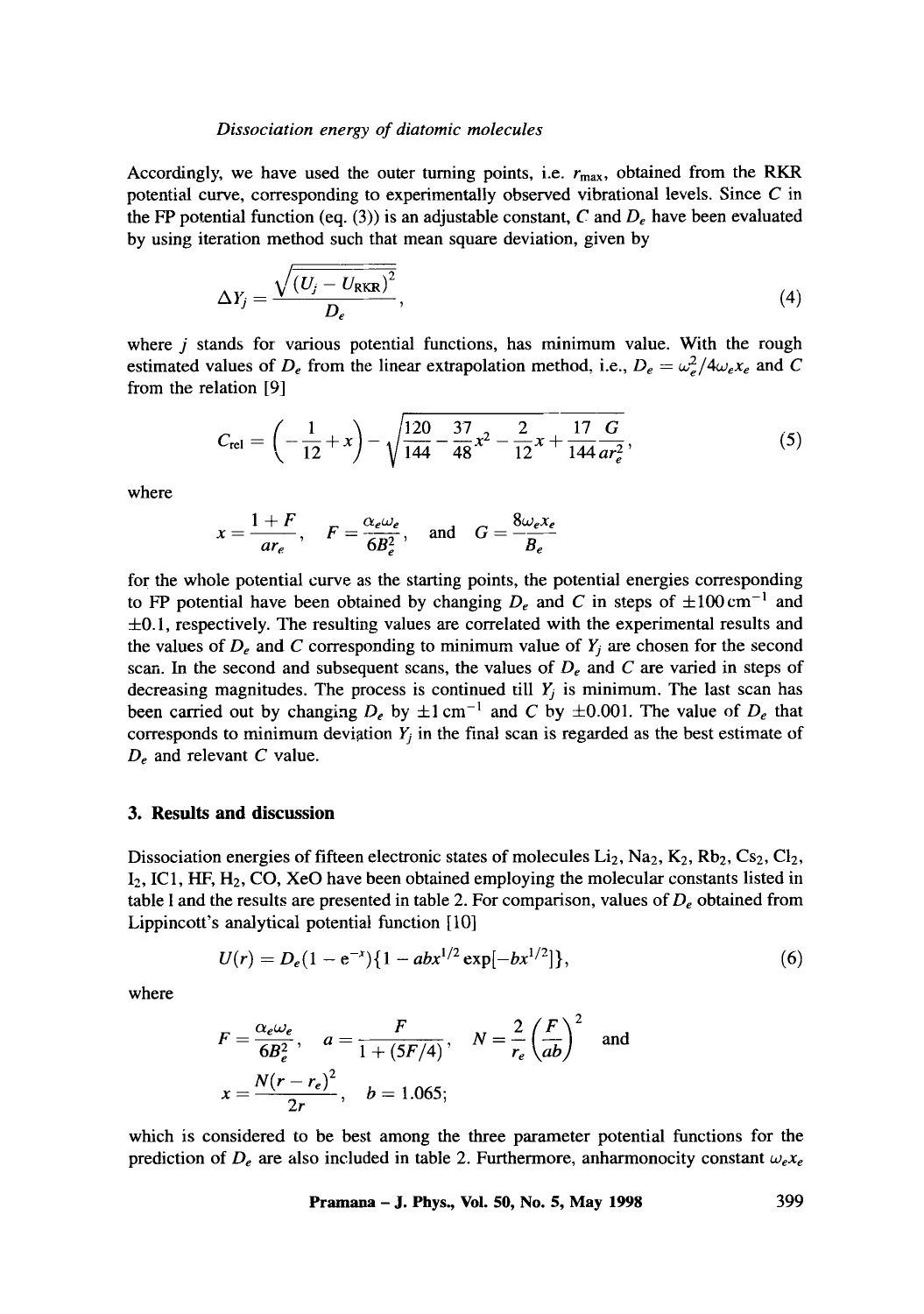### *Dissociation energy of diatomic molecules*

Accordingly, we have used the outer turning points, i.e.  $r_{\text{max}}$ , obtained from the RKR potential curve, corresponding to experimentally observed vibrational levels. Since  $C$  in the FP potential function (eq. (3)) is an adjustable constant, C and  $D_e$  have been evaluated by using iteration method such that mean square deviation, given by

$$
\Delta Y_j = \frac{\sqrt{\left(U_j - U_{\text{RKR}}\right)^2}}{D_e},\tag{4}
$$

where  $j$  stands for various potential functions, has minimum value. With the rough estimated values of  $D_e$  from the linear extrapolation method, i.e.,  $D_e = \omega_e^2/4\omega_e x_e$  and C from the relation [9]

$$
C_{\text{rel}} = \left(-\frac{1}{12} + x\right) - \sqrt{\frac{120}{144} - \frac{37}{48}x^2 - \frac{2}{12}x + \frac{17}{144}\frac{G}{ar_e^2}},\tag{5}
$$

where

$$
x = \frac{1+F}{ar_e}
$$
,  $F = \frac{\alpha_e \omega_e}{6B_e^2}$ , and  $G = \frac{8\omega_e x_e}{B_e}$ 

for the whole potential curve as the starting points, the potential energies corresponding to FP potential have been obtained by changing  $D_e$  and C in steps of  $\pm 100 \text{ cm}^{-1}$  and ±0.1, respectively. The resulting values are correlated with the experimental results and the values of  $D_e$  and C corresponding to minimum value of  $Y_i$  are chosen for the second scan. In the second and subsequent scans, the values of *De and C are* varied in steps of decreasing magnitudes. The process is continued till  $Y_j$  is minimum. The last scan has been carried out by changing  $D_e$  by  $\pm 1$  cm<sup>-1</sup> and C by  $\pm 0.001$ . The value of  $D_e$  that corresponds to minimum deviation  $Y_i$  in the final scan is regarded as the best estimate of *De* and relevant C value.

### **3. Results and discussion**

Dissociation energies of fifteen electronic states of molecules  $Li_2$ ,  $Na_2$ ,  $K_2$ ,  $Rb_2$ ,  $Cs_2$ ,  $Cl_2$ ,  $I_2$ , IC1, HF, H<sub>2</sub>, CO, XeO have been obtained employing the molecular constants listed in table I and the results are presented in table 2. For comparison, values of  $D_e$  obtained from Lippincott's analytical potential function [10]

$$
U(r) = D_e(1 - e^{-x})\{1 - abx^{1/2} \exp[-bx^{1/2}]\},\tag{6}
$$

where

$$
F = \frac{\alpha_e \omega_e}{6B_e^2}, \quad a = \frac{F}{1 + (5F/4)}, \quad N = \frac{2}{r_e} \left(\frac{F}{ab}\right)^2 \quad \text{and}
$$

$$
x = \frac{N(r - r_e)^2}{2r}, \quad b = 1.065;
$$

which is considered to be best among the three parameter potential functions for the prediction of  $D_e$  are also included in table 2. Furthermore, anharmonocity constant  $\omega_e x_e$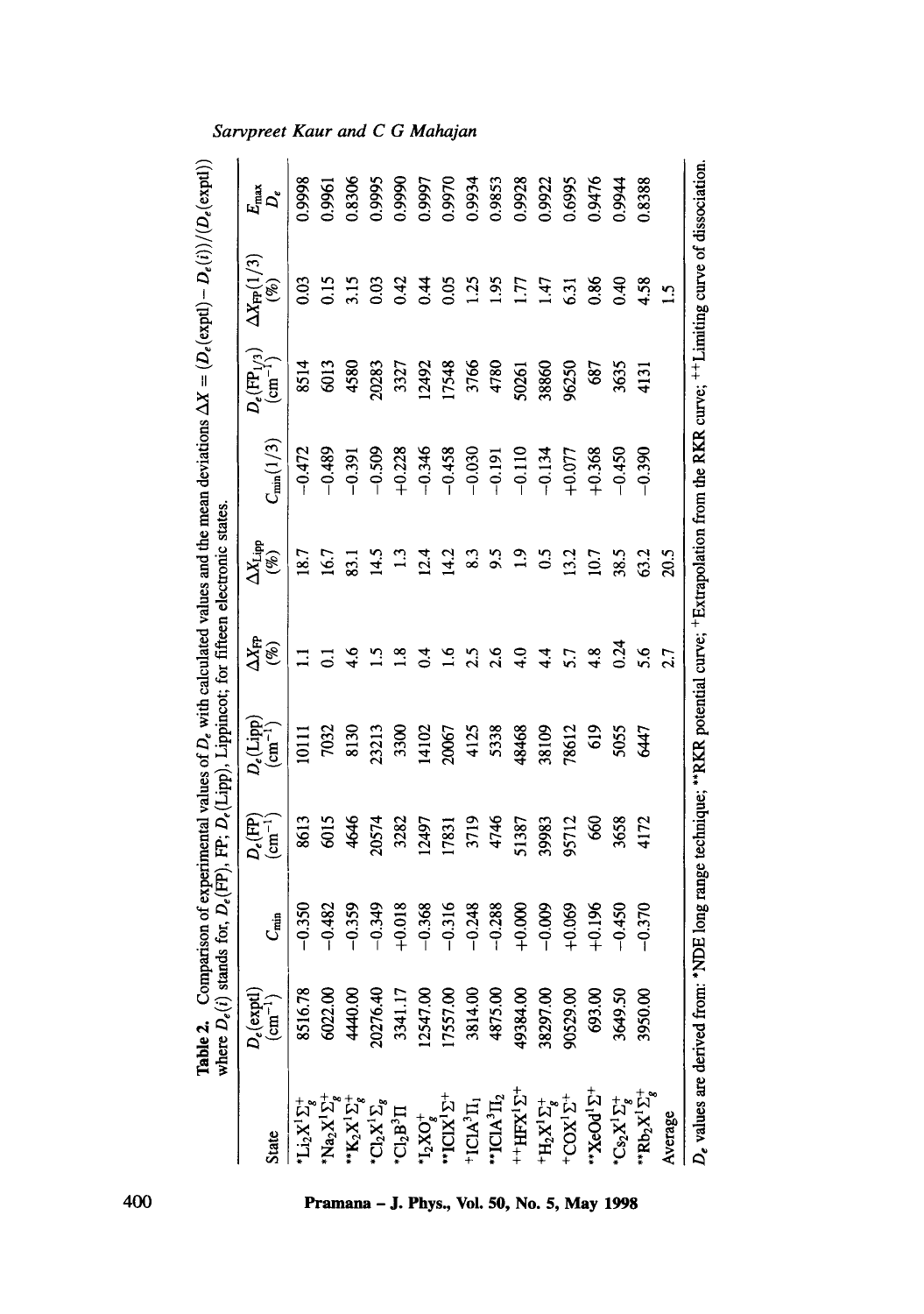|                                                                                                                                                                                                                                                                                                                                                                                                                                  |                                                                              |            |                                | <b>Table 2.</b> Comparison of experimental values of $D_e$ with calculated values and the mean deviations $\Delta X = \langle D_e(\exp 1) - D_e(i) \rangle / \langle D_e(\exp 1) \rangle$<br>where $D_e(i)$ stands for, $D_e(\text{FP})$ , FP; $D_e(\text{Lipp})$ , Lippincot; for fifteen electronic |                                          |                                                                    |                                  |                        |                            |                           |
|----------------------------------------------------------------------------------------------------------------------------------------------------------------------------------------------------------------------------------------------------------------------------------------------------------------------------------------------------------------------------------------------------------------------------------|------------------------------------------------------------------------------|------------|--------------------------------|-------------------------------------------------------------------------------------------------------------------------------------------------------------------------------------------------------------------------------------------------------------------------------------------------------|------------------------------------------|--------------------------------------------------------------------|----------------------------------|------------------------|----------------------------|---------------------------|
|                                                                                                                                                                                                                                                                                                                                                                                                                                  |                                                                              |            | $D_e(\overline{\mathbb{H}})$   | $D_e(\mathrm{Lipp})$                                                                                                                                                                                                                                                                                  | $\frac{\Delta X_{\text{FP}}}{\left(\%)}$ |                                                                    |                                  | $D_e(\text{FP}_{1/3})$ | $\Delta X_{\rm FP}(1/3)$   |                           |
| <b>State</b>                                                                                                                                                                                                                                                                                                                                                                                                                     | $D_{\epsilon}(\text{expl})\\ (\text{cm}^{-1})$                               | $C_{\min}$ |                                | $(\text{cm}^{-1})$                                                                                                                                                                                                                                                                                    |                                          | $\frac{\Delta X_{\text{Lipp}}}{\left( \text{\%}\right) }$          | $C_{\text{min}}(1/3)$            | $\frac{1}{2}$          | $(\%)$                     | $E_{\rm max}$ $D_{\rm e}$ |
| $\operatorname{Li}_2\!\mathbf{X}^1\Sigma_g^+$                                                                                                                                                                                                                                                                                                                                                                                    | 8516.78                                                                      | 0.350      | 8613                           | $\frac{11}{2}$                                                                                                                                                                                                                                                                                        |                                          |                                                                    | $-0.472$                         | 8514                   | 0.03                       | 0.9998                    |
|                                                                                                                                                                                                                                                                                                                                                                                                                                  | 6022.00<br>4440.00<br>20276.40<br>3341.17<br>17557.00<br>17557.00<br>3814.00 | $-0.482$   | 6015<br>4646<br>20574          | 7032                                                                                                                                                                                                                                                                                                  | $\overline{c}$                           | $18.7$<br>$16.7$<br>$15.1$<br>$15.1$<br>$13.1$<br>$14.2$<br>$14.2$ | $-0.489$                         | 6013                   | $0.15$<br>$3.15$           | 0.9961                    |
|                                                                                                                                                                                                                                                                                                                                                                                                                                  |                                                                              | $-0.359$   |                                | 8130                                                                                                                                                                                                                                                                                                  | 4.6                                      |                                                                    | $-0.391$                         | 4580                   |                            | 0.8306                    |
|                                                                                                                                                                                                                                                                                                                                                                                                                                  |                                                                              | $-0.349$   |                                | 23213                                                                                                                                                                                                                                                                                                 | $\ddot{5}$                               |                                                                    | $-0.509$                         | 20283                  | 0.03                       | 0.9995                    |
|                                                                                                                                                                                                                                                                                                                                                                                                                                  |                                                                              | $+0.018$   |                                | 3300                                                                                                                                                                                                                                                                                                  | $\frac{8}{0.4}$                          |                                                                    | $+0.228$                         | 3327                   | 0.42                       | 0.9990                    |
|                                                                                                                                                                                                                                                                                                                                                                                                                                  |                                                                              | $-0.368$   | 3282<br>12497                  | 14102                                                                                                                                                                                                                                                                                                 |                                          |                                                                    | $-0.346$                         | 12492                  | $\tilde{H}$                | 0.9997                    |
|                                                                                                                                                                                                                                                                                                                                                                                                                                  |                                                                              | $-0.316$   | 17831                          | 20067                                                                                                                                                                                                                                                                                                 | $\frac{6}{16}$                           |                                                                    | $-0.458$                         | 17548                  | 0.05                       | 0.9970                    |
|                                                                                                                                                                                                                                                                                                                                                                                                                                  |                                                                              | $-0.248$   |                                | 4125<br>5338                                                                                                                                                                                                                                                                                          | $2.5$<br>$2.6$<br>$4.0$                  |                                                                    |                                  | 3766<br>4780           |                            | 0.9934                    |
|                                                                                                                                                                                                                                                                                                                                                                                                                                  |                                                                              | $-0.288$   |                                |                                                                                                                                                                                                                                                                                                       |                                          |                                                                    |                                  |                        | $1.35$<br>$1.95$<br>$1.77$ | 0.9853                    |
|                                                                                                                                                                                                                                                                                                                                                                                                                                  | 49384.00                                                                     | $+0.000$   | 3719<br>4746<br>51387<br>51387 | 48468                                                                                                                                                                                                                                                                                                 |                                          | $3.39$ $1.9$ $1.5$                                                 | $-0.030$<br>$-0.191$<br>$-0.110$ | 50261                  |                            | 0.9928                    |
| ${\bf \begin{matrix} N_{a}N^{1}\Sigma_{i}^{*}\\ N_{a}N^{1}\Sigma_{i}^{*}\\ N_{a}N^{1}\Sigma_{i}^{*}\\ N_{a}N^{1}\Sigma_{i}^{*}\\ N_{a}N^{2}\Sigma_{i}^{*}\\ N_{a}N^{2}\Sigma_{i}^{*}\\ \text{TCI}N^{1}\Sigma_{i}^{*}\\ \text{TCI}N^{1}\Sigma_{i}^{*}\\ \text{TCI}N^{1}\Sigma_{i}^{*}\\ \text{TCI}N^{1}\Sigma_{i}^{*}\\ \text{HCI}N^{1}\Sigma_{i}^{*}\\ \text{TCI}N^{1}\Sigma_{i}^{*}\\ \text{TCI}N^{1}\Sigma_{i}^{*}\\ \text{TC$ | 38297.00                                                                     | $-0.009$   |                                | 38109                                                                                                                                                                                                                                                                                                 | 44                                       |                                                                    | $-0.134$                         | 38860                  | 147                        | 0.9922                    |
|                                                                                                                                                                                                                                                                                                                                                                                                                                  | 00.62506                                                                     | $+0.069$   | 95712                          | 78612                                                                                                                                                                                                                                                                                                 | $5.7$<br>4.8                             | 13.2                                                               | $+0.077$                         | 96250                  | 6.31                       | 1,6995                    |
|                                                                                                                                                                                                                                                                                                                                                                                                                                  | 693.00                                                                       | $+0.196$   | 60                             | 619                                                                                                                                                                                                                                                                                                   |                                          | 10.7                                                               | $+0.368$                         | 687                    | 0.86                       | 0.9476                    |
|                                                                                                                                                                                                                                                                                                                                                                                                                                  | 3649.50                                                                      | $-0.450$   | 3658                           | 5055                                                                                                                                                                                                                                                                                                  | 0.24                                     | 38.5                                                               | $-0.450$                         | 3635                   | $0.40$<br>4.58             | 0.9944                    |
| $\begin{array}{l} \mathrm{C}\mathrm{s}_2\mathrm{X}^1\Sigma_g^+ \\ \mathrm{Rb}_2\mathrm{X}^1\Sigma_g^+ \end{array}$                                                                                                                                                                                                                                                                                                               | 3950.00                                                                      | $-0.370$   | 4172                           | 5447                                                                                                                                                                                                                                                                                                  | 5.6                                      |                                                                    | $-0.390$                         | $\overline{131}$       |                            | 0.8388                    |
| Average                                                                                                                                                                                                                                                                                                                                                                                                                          |                                                                              |            |                                |                                                                                                                                                                                                                                                                                                       | 2.7                                      | 20.5                                                               |                                  |                        | $\mathbf{C}$               |                           |

 $D_{\epsilon}$  values are derived from: \*NDE long range technique; \*\*RKR potential curve;  $+$ Extrapolation from the RKR curve;  $+$ +Limiting curve of dissociation.

 $D_{\epsilon}$  values are derived from: \*NDE long range technique; \*\*RKR potential curve; + Extrapolation from the RKR curve; ++Limiting curve of dissociation.

# Sarvpreet Kaur and C G Mahajan

**mana – J. Phys., Vol. 50, No. 5, May 1998**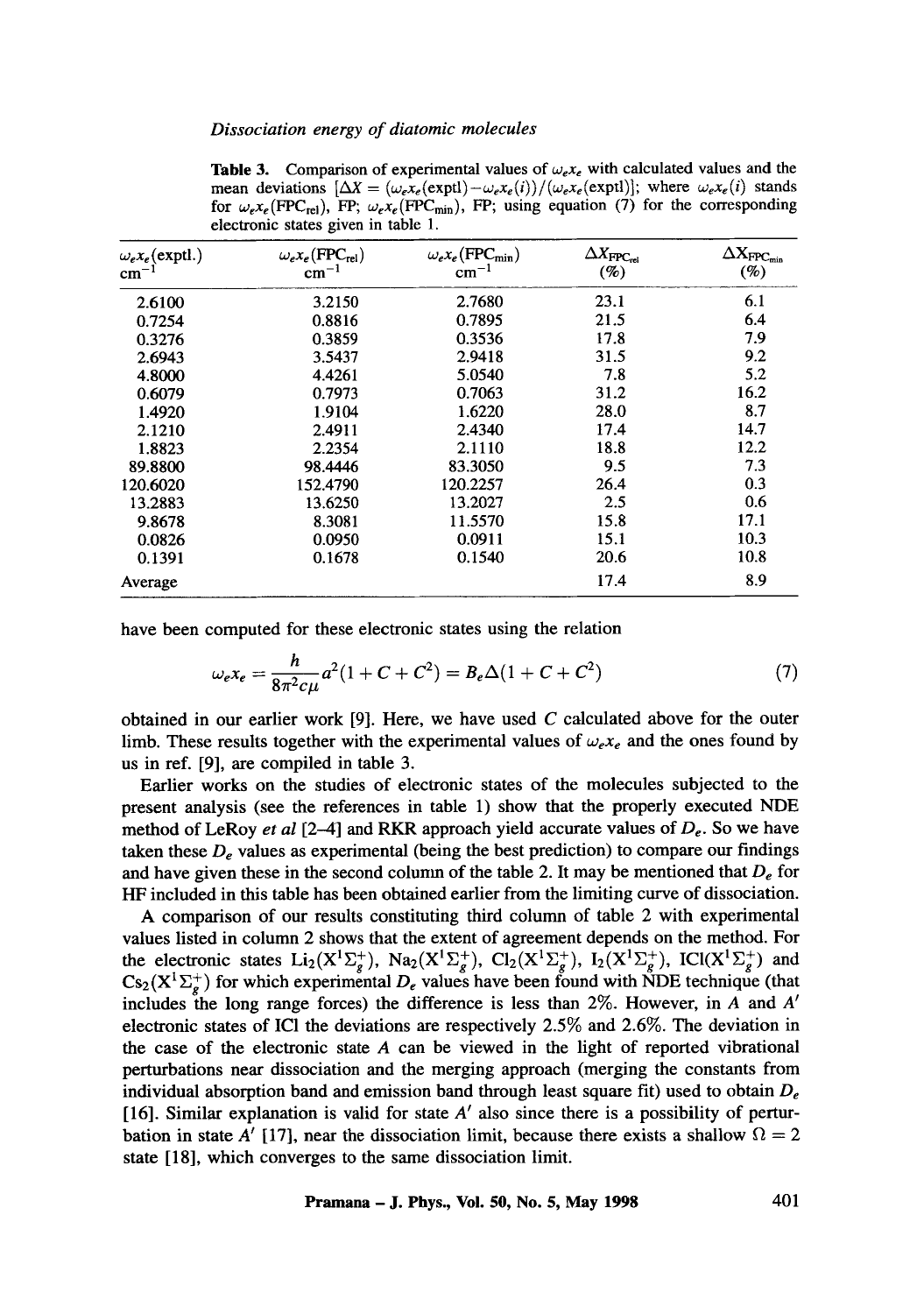| $\omega_e x_e$ (exptl.)<br>$cm^{-1}$ | $\omega_e x_e$ (FPC <sub>rel</sub> )<br>$cm^{-1}$ | $\omega_e x_e$ (FPC <sub>min</sub> )<br>$cm^{-1}$ | $\Delta X_{\text{FPC}_{\text{rel}}}$<br>(%) | $\Delta \mathbf{X}_{\text{FPC}_{\text{min}}}$<br>$(\%)$ |
|--------------------------------------|---------------------------------------------------|---------------------------------------------------|---------------------------------------------|---------------------------------------------------------|
| 2.6100                               | 3.2150                                            | 2.7680                                            | 23.1                                        | 6.1                                                     |
| 0.7254                               | 0.8816                                            | 0.7895                                            | 21.5                                        | 6.4                                                     |
| 0.3276                               | 0.3859                                            | 0.3536                                            | 17.8                                        | 7.9                                                     |
| 2.6943                               | 3.5437                                            | 2.9418                                            | 31.5                                        | 9.2                                                     |
| 4.8000                               | 4.4261                                            | 5.0540                                            | 7.8                                         | 5.2                                                     |
| 0.6079                               | 0.7973                                            | 0.7063                                            | 31.2                                        | 16.2                                                    |
| 1.4920                               | 1.9104                                            | 1.6220                                            | 28.0                                        | 8.7                                                     |
| 2.1210                               | 2.4911                                            | 2.4340                                            | 17.4                                        | 14.7                                                    |
| 1.8823                               | 2.2354                                            | 2.1110                                            | 18.8                                        | 12.2                                                    |
| 89.8800                              | 98.4446                                           | 83.3050                                           | 9.5                                         | 7.3                                                     |
| 120.6020                             | 152.4790                                          | 120.2257                                          | 26.4                                        | 0.3                                                     |
| 13.2883                              | 13.6250                                           | 13.2027                                           | 2.5                                         | 0.6                                                     |
| 9.8678                               | 8.3081                                            | 11.5570                                           | 15.8                                        | 17.1                                                    |
| 0.0826                               | 0.0950                                            | 0.0911                                            | 15.1                                        | 10.3                                                    |
| 0.1391                               | 0.1678                                            | 0.1540                                            | 20.6                                        | 10.8                                                    |
| Average                              |                                                   |                                                   | 17.4                                        | 8.9                                                     |

**Table 3.** Comparison of experimental values of  $\omega_e x_e$  with calculated values and the mean deviations  $\left[\Delta X = (\omega_e x_e(\text{exptl}) - \omega_e x_e(i))/(\omega_e x_e(\text{exptl}))\right]$ ; where  $\omega_e x_e(i)$  stands for  $\omega_e x_e$ (FPC<sub>rel</sub>), FP;  $\omega_e x_e$ (FPC<sub>min</sub>), FP; using equation (7) for the corresponding electronic states given in table 1.

have been computed for these electronic states using the relation

$$
\omega_e x_e = \frac{h}{8\pi^2 c\mu} a^2 (1 + C + C^2) = B_e \Delta (1 + C + C^2)
$$
 (7)

obtained in our earlier work  $[9]$ . Here, we have used C calculated above for the outer limb. These results together with the experimental values of  $\omega_e x_e$  and the ones found by us in ref. [9], are compiled in table 3.

Earlier works on the studies of electronic states of the molecules subjected to the present analysis (see the references in table 1) show that the properly executed NDE method of LeRoy *et al* [2-4] and RKR approach yield accurate values of *De.* So we have taken these  $D_e$  values as experimental (being the best prediction) to compare our findings and have given these in the second column of the table 2. It may be mentioned that  $D_e$  for HF included in this table has been obtained earlier from the limiting curve of dissociation.

A comparison of our results constituting third column of table 2 with experimental values listed in column 2 shows that the extent of agreement depends on the method. For the electronic states  $Li_2(X^1\Sigma_*^+)$ ,  $Na_2(X^1\Sigma_*^+)$ ,  $Cl_2(X^1\Sigma_*^+)$ ,  $I_2(X^1\Sigma_*^+)$ ,  $ICl(X^1\Sigma_*^+)$  and  $\text{Cs}_2(X^T\sum_{\sigma}^*)$  for which experimental  $D_{\epsilon}$  values have been found with NDE technique (that includes the long range forces) the difference is less than  $2\%$ . However, in A and A' electronic states of IC1 the deviations are respectively 2.5% and 2.6%. The deviation in the case of the electronic state A can be viewed in the light of reported vibrational perturbations near dissociation and the merging approach (merging the constants from individual absorption band and emission band through least square fit) used to obtain *De*  [16]. Similar explanation is valid for state  $A'$  also since there is a possibility of perturbation in state A' [17], near the dissociation limit, because there exists a shallow  $\Omega = 2$ state [18], which converges to the same dissociation limit.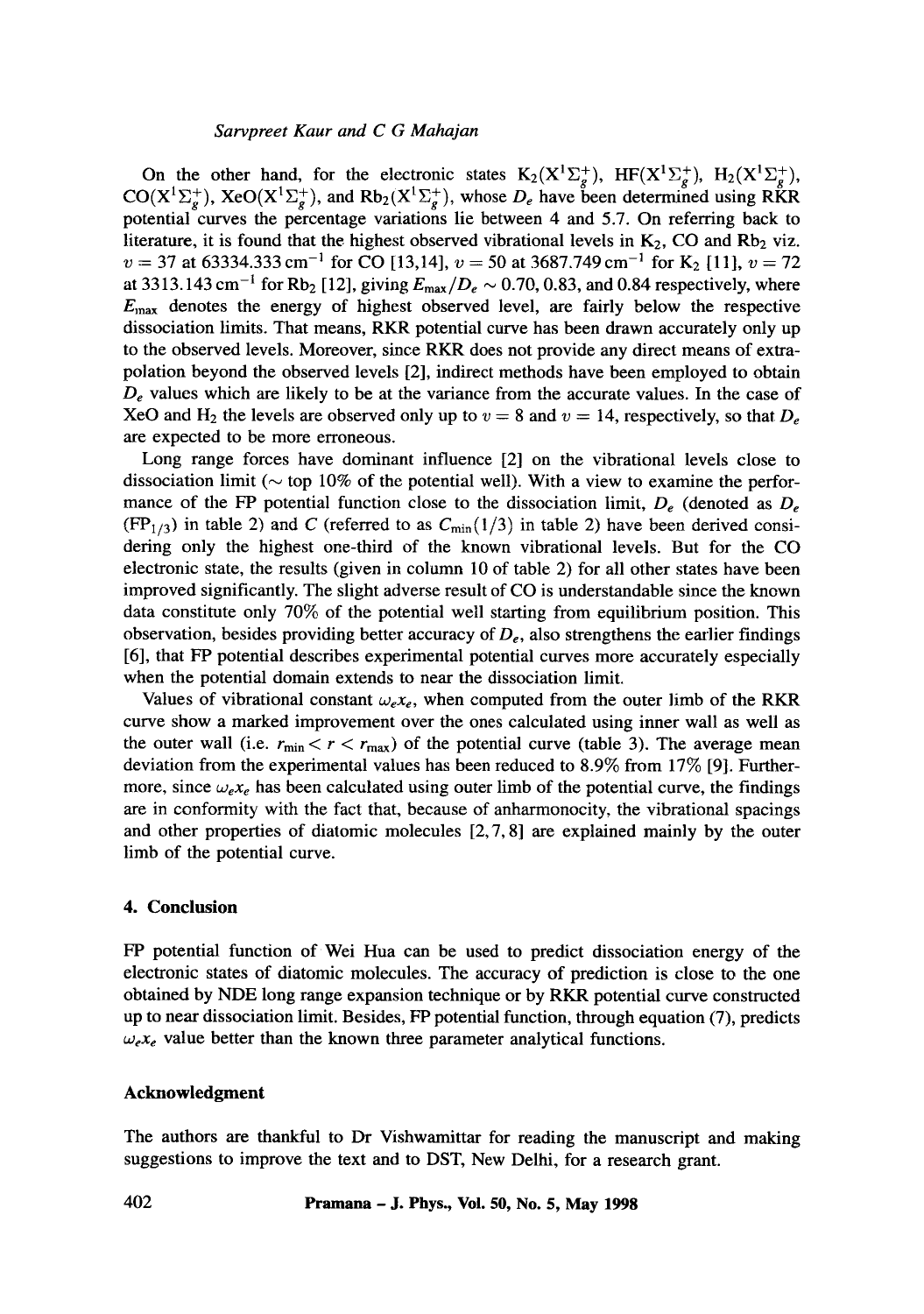### *Sarvpreet Kaur and C G Mahajan*

On the other hand, for the electronic states  $K_2(X^1\Sigma_g^+)$ ,  $HF(X^1\Sigma_g^+)$ ,  $H_2(X^1\Sigma_g^+)$ ,  $CO(X^1\Sigma_g^+)$ , Xe $O(X^1\Sigma_g^+)$ , and Rb<sub>2</sub>( $X^1\Sigma_g^+$ ), whose  $D_e$  have been determined using RKR potential curves the percentage variations lie between 4 and 5.7. On referring back to literature, it is found that the highest observed vibrational levels in  $K_2$ , CO and Rb<sub>2</sub> viz.  $v = 37$  at 63334.333 cm<sup>-1</sup> for CO [13,14],  $v = 50$  at 3687.749 cm<sup>-1</sup> for K<sub>2</sub> [11],  $v = 72$ at 3313.143 cm<sup>-1</sup> for Rb<sub>2</sub> [12], giving  $E_{\text{max}}/D_e \sim 0.70, 0.83$ , and 0.84 respectively, where  $E_{\text{max}}$  denotes the energy of highest observed level, are fairly below the respective dissociation limits. That means, RKR potential curve has been drawn accurately only up to the observed levels. Moreover, since RKR does not provide any direct means of extrapolation beyond the observed levels [2], indirect methods have been employed to obtain  $D_e$  values which are likely to be at the variance from the accurate values. In the case of XeO and H<sub>2</sub> the levels are observed only up to  $v = 8$  and  $v = 14$ , respectively, so that  $D_e$ are expected to be more erroneous.

Long range forces have dominant influence [2] on the vibrational levels close to dissociation limit ( $\sim$  top 10% of the potential well). With a view to examine the performance of the FP potential function close to the dissociation limit,  $D_e$  (denoted as  $D_e$  $(FP_{1/3})$  in table 2) and C (referred to as  $C_{\text{min}}(1/3)$  in table 2) have been derived considering only the highest one-third of the known vibrational levels. But for the CO electronic state, the results (given in column 10 of table 2) for all other states have been improved significantly. The slight adverse result of CO is understandable since the known data constitute only 70% of the potential well starting from equilibrium position. This observation, besides providing better accuracy of *De,* also strengthens the earlier findings [6], that FP potential describes experimental potential curves more accurately especially when the potential domain extends to near the dissociation limit.

Values of vibrational constant  $\omega_e x_e$ , when computed from the outer limb of the RKR curve show a marked improvement over the ones calculated using inner wall as well as the outer wall (i.e.  $r_{\text{min}} < r < r_{\text{max}}$ ) of the potential curve (table 3). The average mean deviation from the experimental values has been reduced to 8.9% from 17% [9]. Furthermore, since  $\omega_{e}x_{e}$  has been calculated using outer limb of the potential curve, the findings are in conformity with the fact that, because of anharmonocity, the vibrational spacings and other properties of diatomic molecules  $[2, 7, 8]$  are explained mainly by the outer limb of the potential curve.

#### **4. Conclusion**

FP potential function of Wei Hua can be used to predict dissociation energy of the electronic states of diatomic molecules. The accuracy of prediction is close to the one obtained by NDE long range expansion technique or by RKR potential curve constructed up to near dissociation limit. Besides, FP potential function, through equation (7), predicts  $\omega_{e}x_{e}$  value better than the known three parameter analytical functions.

### **Acknowledgment**

The authors are thankful to Dr Vishwamittar for reading the manuscript and making suggestions to improve the text and to DST, New Delhi, for a research grant.